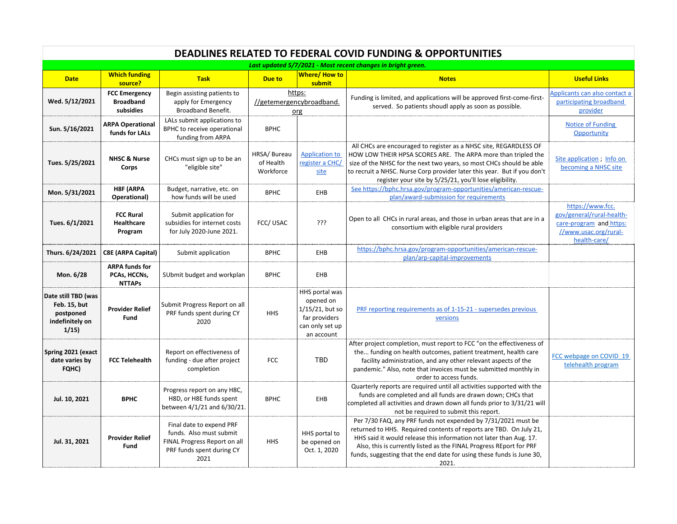| <b>DEADLINES RELATED TO FEDERAL COVID FUNDING &amp; OPPORTUNITIES</b>        |                                                        |                                                                                                                          |                                           |                                                                                                  |                                                                                                                                                                                                                                                                                                                                                                    |                                                                                                                   |  |  |  |  |  |
|------------------------------------------------------------------------------|--------------------------------------------------------|--------------------------------------------------------------------------------------------------------------------------|-------------------------------------------|--------------------------------------------------------------------------------------------------|--------------------------------------------------------------------------------------------------------------------------------------------------------------------------------------------------------------------------------------------------------------------------------------------------------------------------------------------------------------------|-------------------------------------------------------------------------------------------------------------------|--|--|--|--|--|
| Last updated 5/7/2021 - Most recent changes in bright green.                 |                                                        |                                                                                                                          |                                           |                                                                                                  |                                                                                                                                                                                                                                                                                                                                                                    |                                                                                                                   |  |  |  |  |  |
| <b>Date</b>                                                                  | <b>Which funding</b><br>source?                        | <b>Task</b>                                                                                                              | <b>Due to</b>                             | Where/How to<br>submit                                                                           | <b>Notes</b>                                                                                                                                                                                                                                                                                                                                                       | <b>Useful Links</b>                                                                                               |  |  |  |  |  |
| Wed. 5/12/2021                                                               | <b>FCC Emergency</b><br><b>Broadband</b><br>subsidies  | Begin assisting patients to<br>apply for Emergency<br>Broadband Benefit.                                                 | https:<br>//getemergencybroadband.<br>org |                                                                                                  | Funding is limited, and applications will be approved first-come-first-<br>served. So patients shoudl apply as soon as possible.                                                                                                                                                                                                                                   | Applicants can also contact a<br>participating broadband<br>provider                                              |  |  |  |  |  |
| Sun. 5/16/2021                                                               | <b>ARPA Operational</b><br>funds for LALs              | LALs submit applications to<br>BPHC to receive operational<br>funding from ARPA                                          | <b>BPHC</b>                               |                                                                                                  |                                                                                                                                                                                                                                                                                                                                                                    | <b>Notice of Funding</b><br>Opportunity                                                                           |  |  |  |  |  |
| Tues. 5/25/2021                                                              | <b>NHSC &amp; Nurse</b><br>Corps                       | CHCs must sign up to be an<br>"eligible site"                                                                            | HRSA/Bureau<br>of Health<br>Workforce     | <b>Application to</b><br>register a CHC/<br>site                                                 | All CHCs are encouraged to register as a NHSC site, REGARDLESS OF<br>HOW LOW THEIR HPSA SCORES ARE. The ARPA more than tripled the<br>size of the NHSC for the next two years, so most CHCs should be able<br>to recruit a NHSC. Nurse Corp provider later this year. But if you don't<br>register your site by 5/25/21, you'll lose eligibility.                  | Site application ; Info on<br>becoming a NHSC site                                                                |  |  |  |  |  |
| Mon. 5/31/2021                                                               | <b>H8F (ARPA</b><br>Operational)                       | Budget, narrative, etc. on<br>how funds will be used                                                                     | <b>BPHC</b>                               | EHB                                                                                              | See https://bphc.hrsa.gov/program-opportunities/american-rescue-<br>plan/award-submission for requirements                                                                                                                                                                                                                                                         |                                                                                                                   |  |  |  |  |  |
| Tues. 6/1/2021                                                               | <b>FCC Rural</b><br>Healthcare<br>Program              | Submit application for<br>subsidies for internet costs<br>for July 2020-June 2021.                                       | FCC/USAC                                  | ???                                                                                              | Open to all CHCs in rural areas, and those in urban areas that are in a<br>consortium with eligible rural providers                                                                                                                                                                                                                                                | https://www.fcc.<br>gov/general/rural-health-<br>care-program and https:<br>//www.usac.org/rural-<br>health-care/ |  |  |  |  |  |
| Thurs. 6/24/2021                                                             | <b>C8E (ARPA Capital)</b>                              | Submit application                                                                                                       | <b>BPHC</b>                               | EHB                                                                                              | https://bphc.hrsa.gov/program-opportunities/american-rescue-<br>plan/arp-capital-improvements                                                                                                                                                                                                                                                                      |                                                                                                                   |  |  |  |  |  |
| Mon. 6/28                                                                    | <b>ARPA funds for</b><br>PCAs, HCCNs,<br><b>NTTAPs</b> | SUbmit budget and workplan                                                                                               | <b>BPHC</b>                               | EHB                                                                                              |                                                                                                                                                                                                                                                                                                                                                                    |                                                                                                                   |  |  |  |  |  |
| Date still TBD (was<br>Feb. 15, but<br>postponed<br>indefinitely on<br>1/15) | <b>Provider Relief</b><br>Fund                         | Submit Progress Report on all<br>PRF funds spent during CY<br>2020                                                       | <b>HHS</b>                                | HHS portal was<br>opened on<br>1/15/21, but so<br>far providers<br>can only set up<br>an account | PRF reporting requirements as of 1-15-21 - supersedes previous<br>versions                                                                                                                                                                                                                                                                                         |                                                                                                                   |  |  |  |  |  |
| Spring 2021 (exact<br>date varies by<br>FQHC)                                | <b>FCC Telehealth</b>                                  | Report on effectiveness of<br>funding - due after project<br>completion                                                  | <b>FCC</b>                                | TBD                                                                                              | After project completion, must report to FCC "on the effectiveness of<br>the funding on health outcomes, patient treatment, health care<br>facility administration, and any other relevant aspects of the<br>pandemic." Also, note that invoices must be submitted monthly in<br>order to access funds.                                                            | FCC webpage on COVID_19<br>telehealth program                                                                     |  |  |  |  |  |
| Jul. 10, 2021                                                                | <b>BPHC</b>                                            | Progress report on any H8C,<br>H8D, or H8E funds spent<br>between 4/1/21 and 6/30/21.                                    | <b>BPHC</b>                               | EHB                                                                                              | Quarterly reports are required until all activities supported with the<br>funds are completed and all funds are drawn down; CHCs that<br>completed all activities and drawn down all funds prior to 3/31/21 will<br>not be required to submit this report.                                                                                                         |                                                                                                                   |  |  |  |  |  |
| Jul. 31, 2021                                                                | <b>Provider Relief</b><br>Fund                         | Final date to expend PRF<br>funds. Also must submit<br>FINAL Progress Report on all<br>PRF funds spent during CY<br>2021 | <b>HHS</b>                                | HHS portal to<br>be opened on<br>Oct. 1, 2020                                                    | Per 7/30 FAQ, any PRF funds not expended by 7/31/2021 must be<br>returned to HHS. Required contents of reports are TBD. On July 21,<br>HHS said it would release this information not later than Aug. 17.<br>Also, this is currently listed as the FINAL Progress REport for PRF<br>funds, suggesting that the end date for using these funds is June 30,<br>2021. |                                                                                                                   |  |  |  |  |  |